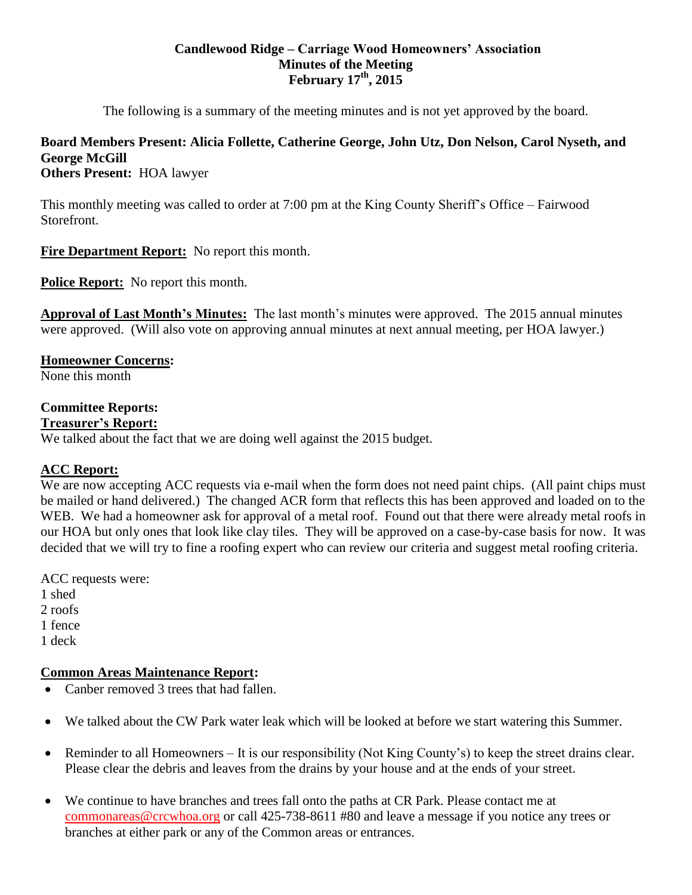### **Candlewood Ridge – Carriage Wood Homeowners' Association Minutes of the Meeting February 17th, 2015**

The following is a summary of the meeting minutes and is not yet approved by the board.

# **Board Members Present: Alicia Follette, Catherine George, John Utz, Don Nelson, Carol Nyseth, and George McGill**

**Others Present:** HOA lawyer

This monthly meeting was called to order at 7:00 pm at the King County Sheriff's Office – Fairwood Storefront.

**Fire Department Report:** No report this month.

**Police Report:** No report this month.

**Approval of Last Month's Minutes:** The last month's minutes were approved. The 2015 annual minutes were approved. (Will also vote on approving annual minutes at next annual meeting, per HOA lawyer.)

## **Homeowner Concerns:**

None this month

## **Committee Reports:**

**Treasurer's Report:**

We talked about the fact that we are doing well against the 2015 budget.

## **ACC Report:**

We are now accepting ACC requests via e-mail when the form does not need paint chips. (All paint chips must be mailed or hand delivered.) The changed ACR form that reflects this has been approved and loaded on to the WEB. We had a homeowner ask for approval of a metal roof. Found out that there were already metal roofs in our HOA but only ones that look like clay tiles. They will be approved on a case-by-case basis for now. It was decided that we will try to fine a roofing expert who can review our criteria and suggest metal roofing criteria.

ACC requests were: 1 shed 2 roofs 1 fence 1 deck

## **Common Areas Maintenance Report:**

- Canber removed 3 trees that had fallen.
- We talked about the CW Park water leak which will be looked at before we start watering this Summer.
- Reminder to all Homeowners It is our responsibility (Not King County's) to keep the street drains clear. Please clear the debris and leaves from the drains by your house and at the ends of your street.
- We continue to have branches and trees fall onto the paths at CR Park. Please contact me at [commonareas@crcwhoa.org](mailto:commonareas@crcwhoa.org) or call 425-738-8611 #80 and leave a message if you notice any trees or branches at either park or any of the Common areas or entrances.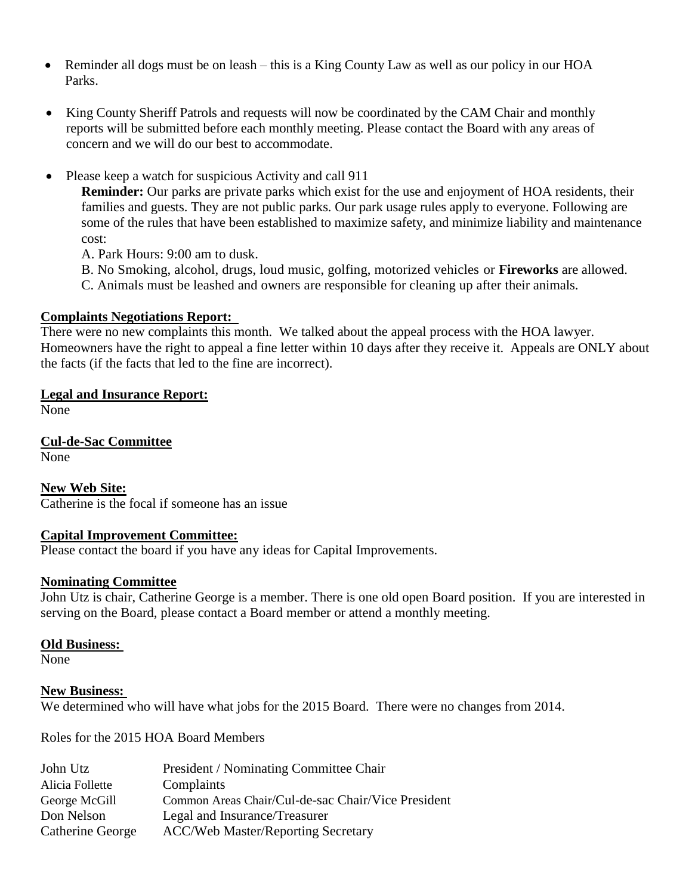- Reminder all dogs must be on leash this is a King County Law as well as our policy in our HOA Parks.
- King County Sheriff Patrols and requests will now be coordinated by the CAM Chair and monthly reports will be submitted before each monthly meeting. Please contact the Board with any areas of concern and we will do our best to accommodate.
- Please keep a watch for suspicious Activity and call 911

**Reminder:** Our parks are private parks which exist for the use and enjoyment of HOA residents, their families and guests. They are not public parks. Our park usage rules apply to everyone. Following are some of the rules that have been established to maximize safety, and minimize liability and maintenance cost:

A. Park Hours: 9:00 am to dusk.

- B. No Smoking, alcohol, drugs, loud music, golfing, motorized vehicles or **Fireworks** are allowed.
- C. Animals must be leashed and owners are responsible for cleaning up after their animals.

## **Complaints Negotiations Report:**

There were no new complaints this month. We talked about the appeal process with the HOA lawyer. Homeowners have the right to appeal a fine letter within 10 days after they receive it. Appeals are ONLY about the facts (if the facts that led to the fine are incorrect).

## **Legal and Insurance Report:**

None

**Cul-de-Sac Committee** None

**New Web Site:** Catherine is the focal if someone has an issue

## **Capital Improvement Committee:**

Please contact the board if you have any ideas for Capital Improvements.

#### **Nominating Committee**

John Utz is chair, Catherine George is a member. There is one old open Board position. If you are interested in serving on the Board, please contact a Board member or attend a monthly meeting.

#### **Old Business:**

None

#### **New Business:**

We determined who will have what jobs for the 2015 Board. There were no changes from 2014.

Roles for the 2015 HOA Board Members

| John Utz         | President / Nominating Committee Chair             |
|------------------|----------------------------------------------------|
| Alicia Follette  | Complaints                                         |
| George McGill    | Common Areas Chair/Cul-de-sac Chair/Vice President |
| Don Nelson       | Legal and Insurance/Treasurer                      |
| Catherine George | <b>ACC/Web Master/Reporting Secretary</b>          |